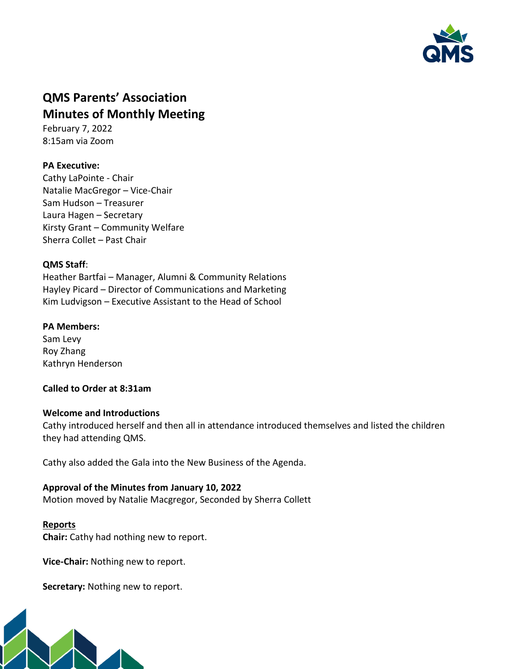

# **QMS Parents' Association Minutes of Monthly Meeting**

February 7, 2022 8:15am via Zoom

# **PA Executive:**

Cathy LaPointe - Chair Natalie MacGregor – Vice-Chair Sam Hudson – Treasurer Laura Hagen – Secretary Kirsty Grant – Community Welfare Sherra Collet – Past Chair

## **QMS Staff**:

Heather Bartfai – Manager, Alumni & Community Relations Hayley Picard – Director of Communications and Marketing Kim Ludvigson – Executive Assistant to the Head of School

## **PA Members:**

Sam Levy Roy Zhang Kathryn Henderson

## **Called to Order at 8:31am**

#### **Welcome and Introductions**

Cathy introduced herself and then all in attendance introduced themselves and listed the children they had attending QMS.

Cathy also added the Gala into the New Business of the Agenda.

#### **Approval of the Minutes from January 10, 2022**

Motion moved by Natalie Macgregor, Seconded by Sherra Collett

#### **Reports**

**Chair:** Cathy had nothing new to report.

**Vice-Chair:** Nothing new to report.

**Secretary:** Nothing new to report.